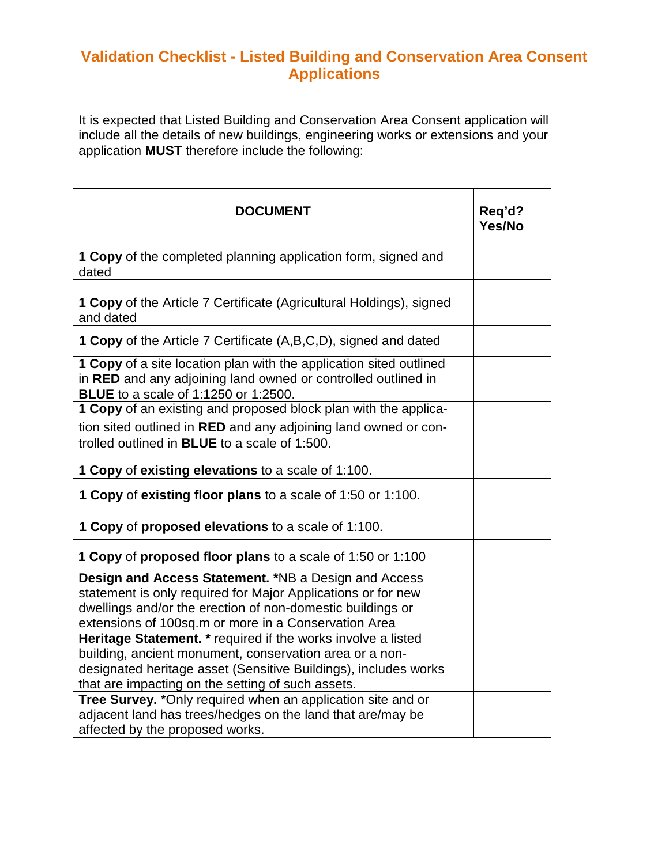## **Validation Checklist - Listed Building and Conservation Area Consent Applications**

It is expected that Listed Building and Conservation Area Consent application will include all the details of new buildings, engineering works or extensions and your application **MUST** therefore include the following:

| <b>DOCUMENT</b>                                                                                                                                                                    | Req'd?<br>Yes/No |
|------------------------------------------------------------------------------------------------------------------------------------------------------------------------------------|------------------|
| <b>1 Copy</b> of the completed planning application form, signed and<br>dated                                                                                                      |                  |
| <b>1 Copy</b> of the Article 7 Certificate (Agricultural Holdings), signed<br>and dated                                                                                            |                  |
| <b>1 Copy</b> of the Article 7 Certificate (A,B,C,D), signed and dated                                                                                                             |                  |
| 1 Copy of a site location plan with the application sited outlined<br>in RED and any adjoining land owned or controlled outlined in<br><b>BLUE</b> to a scale of 1:1250 or 1:2500. |                  |
| 1 Copy of an existing and proposed block plan with the applica-                                                                                                                    |                  |
| tion sited outlined in <b>RED</b> and any adjoining land owned or con-<br>trolled outlined in <b>BLUE</b> to a scale of 1:500.                                                     |                  |
| 1 Copy of existing elevations to a scale of 1:100.                                                                                                                                 |                  |
| <b>1 Copy of existing floor plans to a scale of 1:50 or 1:100.</b>                                                                                                                 |                  |
| 1 Copy of proposed elevations to a scale of 1:100.                                                                                                                                 |                  |
| 1 Copy of proposed floor plans to a scale of 1:50 or 1:100                                                                                                                         |                  |
| Design and Access Statement. *NB a Design and Access                                                                                                                               |                  |
| statement is only required for Major Applications or for new                                                                                                                       |                  |
| dwellings and/or the erection of non-domestic buildings or                                                                                                                         |                  |
| extensions of 100sq.m or more in a Conservation Area                                                                                                                               |                  |
| Heritage Statement. * required if the works involve a listed                                                                                                                       |                  |
| building, ancient monument, conservation area or a non-                                                                                                                            |                  |
| designated heritage asset (Sensitive Buildings), includes works<br>that are impacting on the setting of such assets.                                                               |                  |
| Tree Survey. * Only required when an application site and or                                                                                                                       |                  |
| adjacent land has trees/hedges on the land that are/may be                                                                                                                         |                  |
| affected by the proposed works.                                                                                                                                                    |                  |